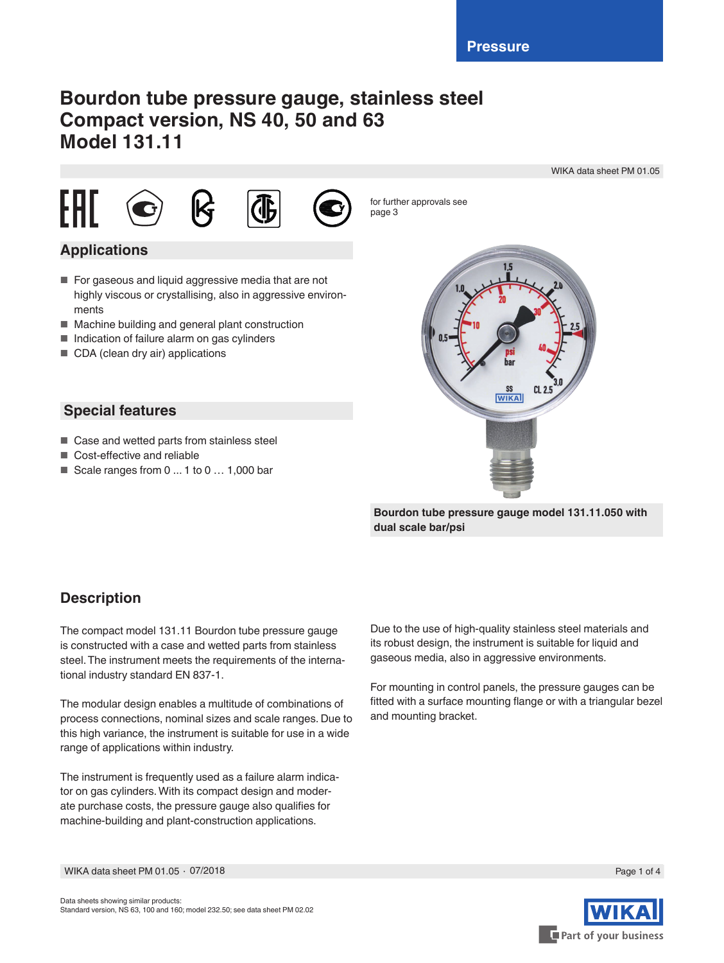# **Bourdon tube pressure gauge, stainless steel Compact version, NS 40, 50 and 63 Model 131.11**

WIKA data sheet PM 01.05









for further approvals see page 3

## **Applications**

- For gaseous and liquid aggressive media that are not highly viscous or crystallising, also in aggressive environments
- Machine building and general plant construction
- Indication of failure alarm on gas cylinders
- CDA (clean dry air) applications

### **Special features**

- Case and wetted parts from stainless steel
- Cost-effective and reliable
- Scale ranges from 0 ... 1 to 0 ... 1,000 bar



**Bourdon tube pressure gauge model 131.11.050 with dual scale bar/psi**

### **Description**

The compact model 131.11 Bourdon tube pressure gauge is constructed with a case and wetted parts from stainless steel. The instrument meets the requirements of the international industry standard EN 837-1.

The modular design enables a multitude of combinations of process connections, nominal sizes and scale ranges. Due to this high variance, the instrument is suitable for use in a wide range of applications within industry.

The instrument is frequently used as a failure alarm indicator on gas cylinders. With its compact design and moderate purchase costs, the pressure gauge also qualifies for machine-building and plant-construction applications.

Due to the use of high-quality stainless steel materials and its robust design, the instrument is suitable for liquid and gaseous media, also in aggressive environments.

For mounting in control panels, the pressure gauges can be fitted with a surface mounting flange or with a triangular bezel and mounting bracket.



WIKA data sheet PM 01.05 ∙ 07/2018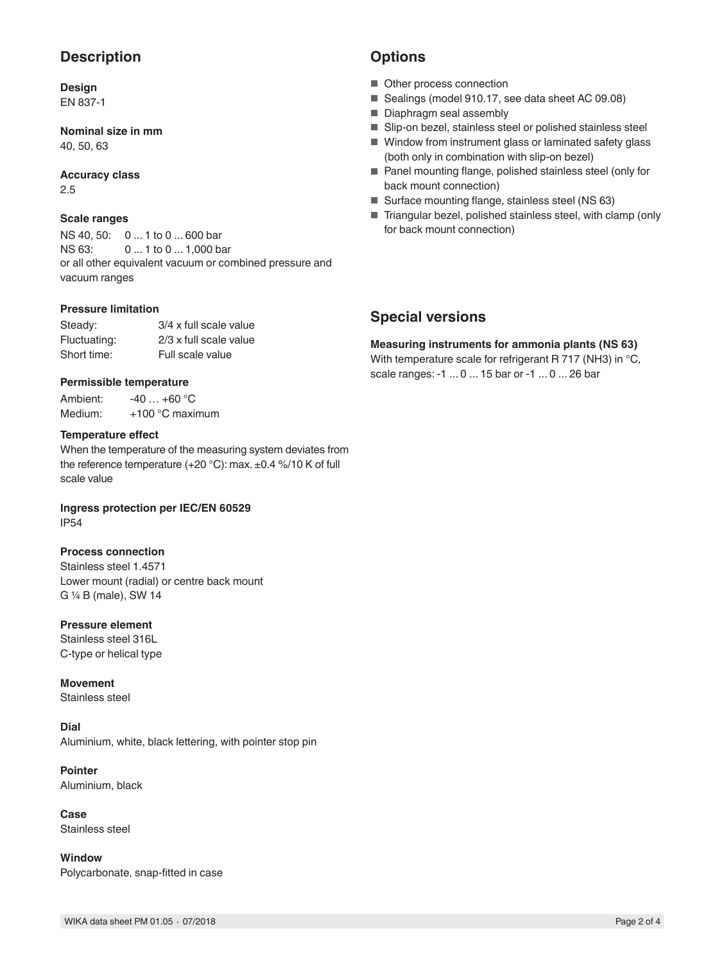### **Description**

#### **Design** EN 837-1

**Nominal size in mm** 40, 50, 63

### **Accuracy class**

2.5

#### **Scale ranges**

NS 40, 50: 0 ... 1 to 0 ... 600 bar NS 63: 0 ... 1 to 0 ... 1,000 bar or all other equivalent vacuum or combined pressure and vacuum ranges

#### **Pressure limitation**

| Steady:      | 3/4 x full scale value |
|--------------|------------------------|
| Fluctuating: | 2/3 x full scale value |
| Short time:  | Full scale value       |

#### **Permissible temperature**

Ambient: -40 ... +60 °C Medium: +100 °C maximum

#### **Temperature effect**

When the temperature of the measuring system deviates from the reference temperature (+20 °C): max. ±0.4 %/10 K of full scale value

**Ingress protection per IEC/EN 60529** IP54

#### **Process connection**

Stainless steel 1.4571 Lower mount (radial) or centre back mount G ¼ B (male), SW 14

#### **Pressure element**

Stainless steel 316L C-type or helical type

**Movement**

Stainless steel

#### **Dial**

Aluminium, white, black lettering, with pointer stop pin

**Pointer** Aluminium, black

**Case** Stainless steel

**Window** Polycarbonate, snap-fitted in case

### **Options**

- Other process connection
- Sealings (model 910.17, see data sheet AC 09.08)
- Diaphragm seal assembly
- Slip-on bezel, stainless steel or polished stainless steel
- Window from instrument glass or laminated safety glass (both only in combination with slip-on bezel)
- Panel mounting flange, polished stainless steel (only for back mount connection)
- Surface mounting flange, stainless steel (NS 63)
- Triangular bezel, polished stainless steel, with clamp (only for back mount connection)

### **Special versions**

**Measuring instruments for ammonia plants (NS 63)** With temperature scale for refrigerant R 717 (NH3) in °C, scale ranges: -1 ... 0 ... 15 bar or -1 ... 0 ... 26 bar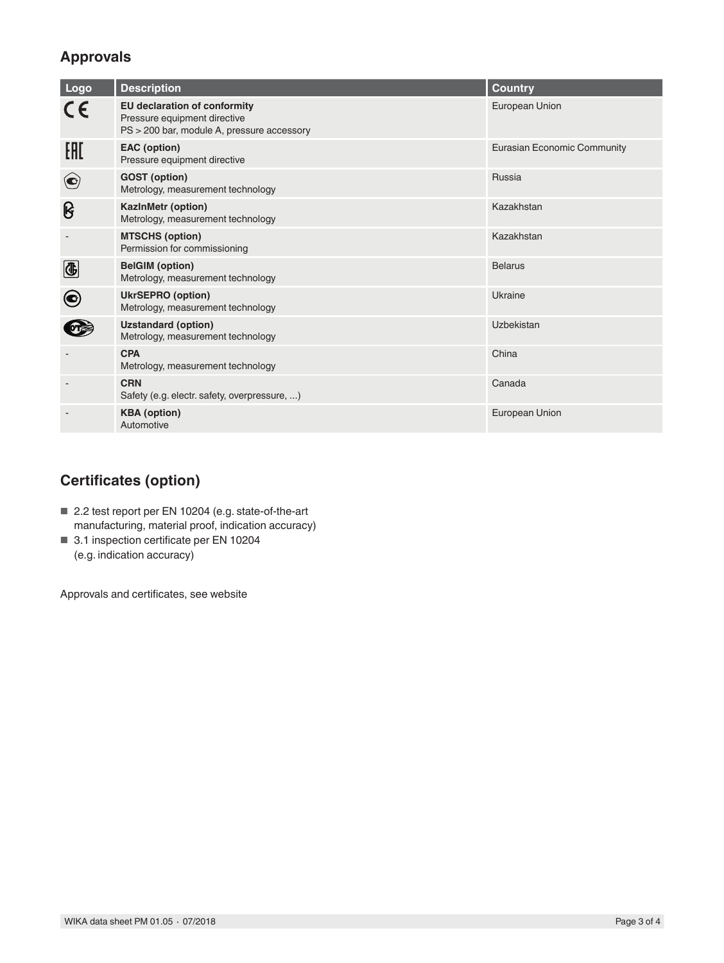# **Approvals**

| Logo                     | <b>Description</b>                                                                                                | Country                            |
|--------------------------|-------------------------------------------------------------------------------------------------------------------|------------------------------------|
| CE                       | <b>EU declaration of conformity</b><br>Pressure equipment directive<br>PS > 200 bar, module A, pressure accessory | European Union                     |
| EAC                      | <b>EAC</b> (option)<br>Pressure equipment directive                                                               | <b>Eurasian Economic Community</b> |
| $\bigodot$               | <b>GOST</b> (option)<br>Metrology, measurement technology                                                         | Russia                             |
| ၆                        | KazInMetr (option)<br>Metrology, measurement technology                                                           | Kazakhstan                         |
|                          | <b>MTSCHS (option)</b><br>Permission for commissioning                                                            | Kazakhstan                         |
| $\bigcirc$               | <b>BelGIM</b> (option)<br>Metrology, measurement technology                                                       | <b>Belarus</b>                     |
| $\left( \bullet \right)$ | <b>UkrSEPRO (option)</b><br>Metrology, measurement technology                                                     | Ukraine                            |
|                          | <b>Uzstandard (option)</b><br>Metrology, measurement technology                                                   | Uzbekistan                         |
|                          | <b>CPA</b><br>Metrology, measurement technology                                                                   | China                              |
|                          | <b>CRN</b><br>Safety (e.g. electr. safety, overpressure, )                                                        | Canada                             |
|                          | <b>KBA</b> (option)<br>Automotive                                                                                 | European Union                     |

# **Certificates (option)**

- 2.2 test report per EN 10204 (e.g. state-of-the-art manufacturing, material proof, indication accuracy)
- 3.1 inspection certificate per EN 10204 (e.g. indication accuracy)

Approvals and certificates, see website